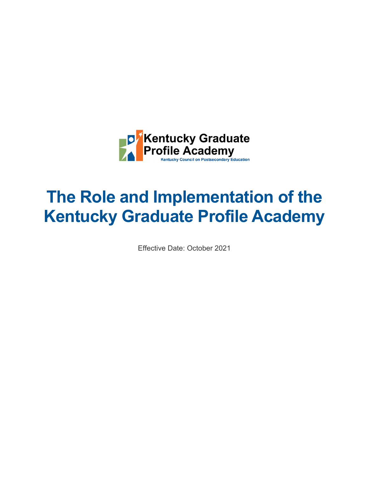

# **The Role and Implementation of the Kentucky Graduate Profile Academy**

Effective Date: October 2021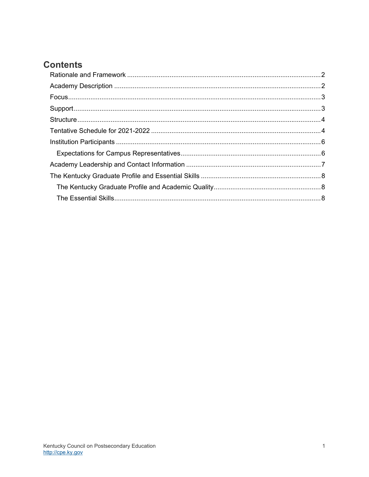# **Contents**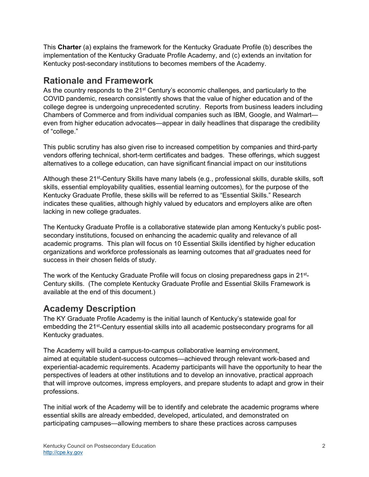This **Charter** (a) explains the framework for the Kentucky Graduate Profile (b) describes the implementation of the Kentucky Graduate Profile Academy, and (c) extends an invitation for Kentucky post-secondary institutions to becomes members of the Academy.

## **Rationale and Framework**

As the country responds to the 21<sup>st</sup> Century's economic challenges, and particularly to the COVID pandemic, research consistently shows that the value of higher education and of the college degree is undergoing unprecedented scrutiny. Reports from business leaders including Chambers of Commerce and from individual companies such as IBM, Google, and Walmart even from higher education advocates—appear in daily headlines that disparage the credibility of "college."

This public scrutiny has also given rise to increased competition by companies and third-party vendors offering technical, short-term certificates and badges. These offerings, which suggest alternatives to a college education, can have significant financial impact on our institutions

Although these 21<sup>st</sup>-Century Skills have many labels (e.g., professional skills, durable skills, soft skills, essential employability qualities, essential learning outcomes), for the purpose of the Kentucky Graduate Profile, these skills will be referred to as "Essential Skills." Research indicates these qualities, although highly valued by educators and employers alike are often lacking in new college graduates.

The Kentucky Graduate Profile is a collaborative statewide plan among Kentucky's public postsecondary institutions, focused on enhancing the academic quality and relevance of all academic programs. This plan will focus on 10 Essential Skills identified by higher education organizations and workforce professionals as learning outcomes that *all* graduates need for success in their chosen fields of study.

The work of the Kentucky Graduate Profile will focus on closing preparedness gaps in 21st-Century skills. (The complete Kentucky Graduate Profile and Essential Skills Framework is available at the end of this document.)

## **Academy Description**

The KY Graduate Profile Academy is the initial launch of Kentucky's statewide goal for embedding the 21st-Century essential skills into all academic postsecondary programs for all Kentucky graduates.

The Academy will build a campus-to-campus collaborative learning environment, aimed at equitable student-success outcomes—achieved through relevant work-based and experiential-academic requirements. Academy participants will have the opportunity to hear the perspectives of leaders at other institutions and to develop an innovative, practical approach that will improve outcomes, impress employers, and prepare students to adapt and grow in their professions.

The initial work of the Academy will be to identify and celebrate the academic programs where essential skills are already embedded, developed, articulated, and demonstrated on participating campuses—allowing members to share these practices across campuses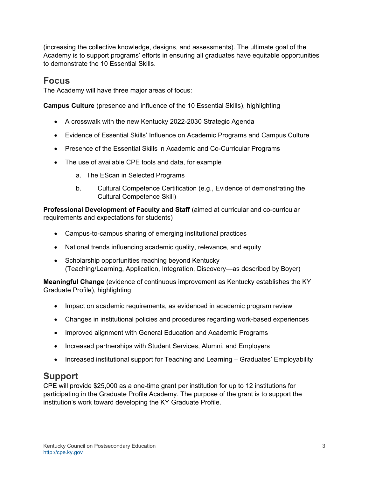(increasing the collective knowledge, designs, and assessments). The ultimate goal of the Academy is to support programs' efforts in ensuring all graduates have equitable opportunities to demonstrate the 10 Essential Skills.

#### **Focus**

The Academy will have three major areas of focus:

**Campus Culture** (presence and influence of the 10 Essential Skills), highlighting

- A crosswalk with the new Kentucky 2022-2030 Strategic Agenda
- Evidence of Essential Skills' Influence on Academic Programs and Campus Culture
- Presence of the Essential Skills in Academic and Co-Curricular Programs
- The use of available CPE tools and data, for example
	- a. The EScan in Selected Programs
	- b. Cultural Competence Certification (e.g., Evidence of demonstrating the Cultural Competence Skill)

**Professional Development of Faculty and Staff** (aimed at curricular and co-curricular requirements and expectations for students)

- Campus-to-campus sharing of emerging institutional practices
- National trends influencing academic quality, relevance, and equity
- Scholarship opportunities reaching beyond Kentucky (Teaching/Learning, Application, Integration, Discovery—as described by Boyer)

**Meaningful Change** (evidence of continuous improvement as Kentucky establishes the KY Graduate Profile), highlighting

- Impact on academic requirements, as evidenced in academic program review
- Changes in institutional policies and procedures regarding work-based experiences
- Improved alignment with General Education and Academic Programs
- Increased partnerships with Student Services, Alumni, and Employers
- Increased institutional support for Teaching and Learning Graduates' Employability

## **Support**

CPE will provide \$25,000 as a one-time grant per institution for up to 12 institutions for participating in the Graduate Profile Academy. The purpose of the grant is to support the institution's work toward developing the KY Graduate Profile.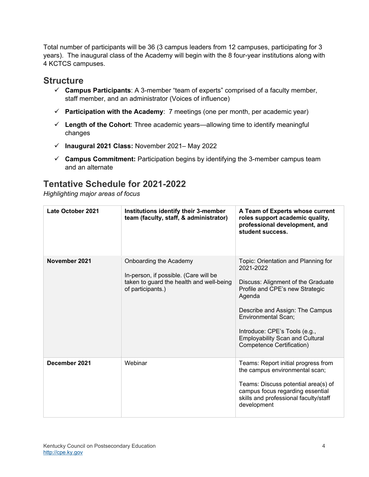Total number of participants will be 36 (3 campus leaders from 12 campuses, participating for 3 years). The inaugural class of the Academy will begin with the 8 four-year institutions along with 4 KCTCS campuses.

#### **Structure**

- **Campus Participants**: A 3-member "team of experts" comprised of a faculty member, staff member, and an administrator (Voices of influence)
- **Participation with the Academy**: 7 meetings (one per month, per academic year)
- **Length of the Cohort**: Three academic years—allowing time to identify meaningful changes
- **Inaugural 2021 Class:** November 2021– May 2022
- **Campus Commitment:** Participation begins by identifying the 3-member campus team and an alternate

## **Tentative Schedule for 2021-2022**

*Highlighting major areas of focus* 

| <b>Late October 2021</b> | Institutions identify their 3-member<br>team (faculty, staff, & administrator)                                                   | A Team of Experts whose current<br>roles support academic quality,<br>professional development, and<br>student success.                                                                                                                                                                                      |
|--------------------------|----------------------------------------------------------------------------------------------------------------------------------|--------------------------------------------------------------------------------------------------------------------------------------------------------------------------------------------------------------------------------------------------------------------------------------------------------------|
| November 2021            | Onboarding the Academy<br>In-person, if possible. (Care will be<br>taken to guard the health and well-being<br>of participants.) | Topic: Orientation and Planning for<br>2021-2022<br>Discuss: Alignment of the Graduate<br>Profile and CPE's new Strategic<br>Agenda<br>Describe and Assign: The Campus<br><b>Environmental Scan;</b><br>Introduce: CPE's Tools (e.g.,<br><b>Employability Scan and Cultural</b><br>Competence Certification) |
| December 2021            | Webinar                                                                                                                          | Teams: Report initial progress from<br>the campus environmental scan;<br>Teams: Discuss potential area(s) of<br>campus focus regarding essential<br>skills and professional faculty/staff<br>development                                                                                                     |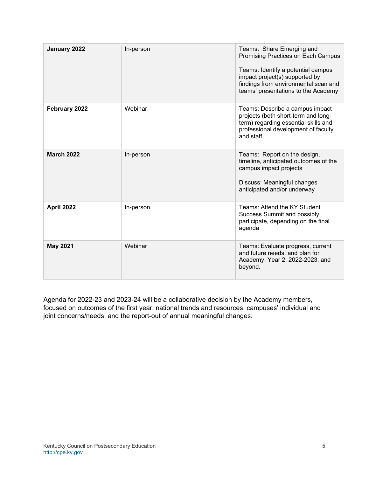| January 2022      | In-person | Teams: Share Emerging and<br>Promising Practices on Each Campus<br>Teams: Identify a potential campus<br>impact project(s) supported by<br>findings from environmental scan and<br>teams' presentations to the Academy |
|-------------------|-----------|------------------------------------------------------------------------------------------------------------------------------------------------------------------------------------------------------------------------|
| February 2022     | Webinar   | Teams: Describe a campus impact<br>projects (both short-term and long-<br>term) regarding essential skills and<br>professional development of faculty<br>and staff                                                     |
| <b>March 2022</b> | In-person | Teams: Report on the design,<br>timeline, anticipated outcomes of the<br>campus impact projects<br>Discuss: Meaningful changes<br>anticipated and/or underway                                                          |
| <b>April 2022</b> | In-person | Teams: Attend the KY Student<br><b>Success Summit and possibly</b><br>participate, depending on the final<br>agenda                                                                                                    |
| <b>May 2021</b>   | Webinar   | Teams: Evaluate progress, current<br>and future needs, and plan for<br>Academy, Year 2, 2022-2023, and<br>beyond.                                                                                                      |

Agenda for 2022-23 and 2023-24 will be a collaborative decision by the Academy members, focused on outcomes of the first year, national trends and resources, campuses' individual and joint concerns/needs, and the report-out of annual meaningful changes.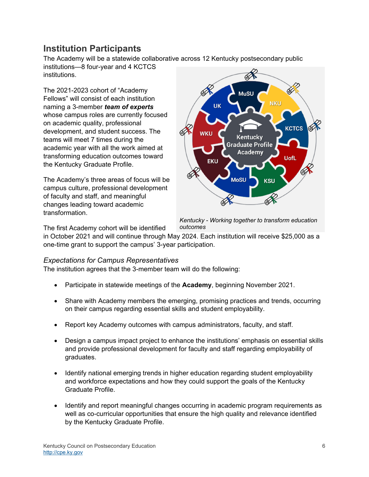# **Institution Participants**

The Academy will be a statewide collaborative across 12 Kentucky postsecondary public institutions—8 four-year and 4 KCTCS

institutions.

The 2021-2023 cohort of "Academy Fellows" will consist of each institution naming a 3-member *team of experts* whose campus roles are currently focused on academic quality, professional development, and student success. The teams will meet 7 times during the academic year with all the work aimed at transforming education outcomes toward the Kentucky Graduate Profile.

The Academy's three areas of focus will be campus culture, professional development of faculty and staff, and meaningful changes leading toward academic transformation.



*Kentucky - Working together to transform education outcomes* 

The first Academy cohort will be identified

in October 2021 and will continue through May 2024. Each institution will receive \$25,000 as a one-time grant to support the campus' 3-year participation.

#### *Expectations for Campus Representatives*

The institution agrees that the 3-member team will do the following:

- Participate in statewide meetings of the **Academy**, beginning November 2021.
- Share with Academy members the emerging, promising practices and trends, occurring on their campus regarding essential skills and student employability.
- Report key Academy outcomes with campus administrators, faculty, and staff.
- Design a campus impact project to enhance the institutions' emphasis on essential skills and provide professional development for faculty and staff regarding employability of graduates.
- Identify national emerging trends in higher education regarding student employability and workforce expectations and how they could support the goals of the Kentucky Graduate Profile.
- Identify and report meaningful changes occurring in academic program requirements as well as co-curricular opportunities that ensure the high quality and relevance identified by the Kentucky Graduate Profile.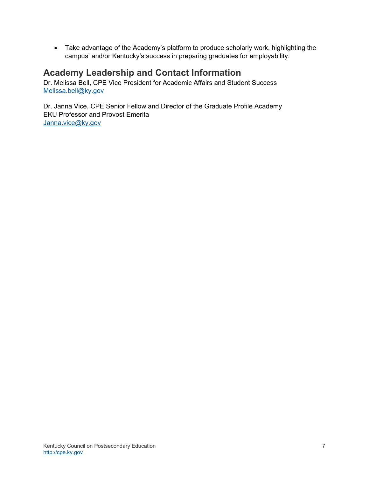Take advantage of the Academy's platform to produce scholarly work, highlighting the campus' and/or Kentucky's success in preparing graduates for employability.

## **Academy Leadership and Contact Information**

Dr. Melissa Bell, CPE Vice President for Academic Affairs and Student Success Melissa.bell@ky.gov

Dr. Janna Vice, CPE Senior Fellow and Director of the Graduate Profile Academy EKU Professor and Provost Emerita Janna.vice@ky.gov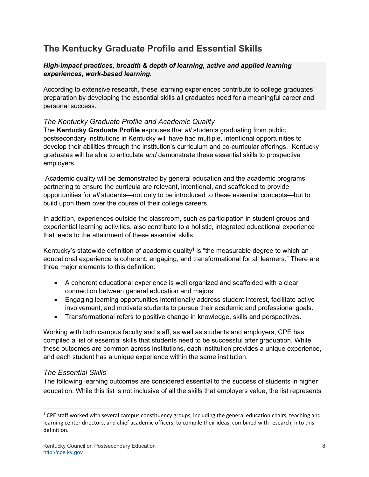# **The Kentucky Graduate Profile and Essential Skills**

#### *High-impact practices, breadth & depth of learning, active and applied learning experiences, work-based learning.*

According to extensive research, these learning experiences contribute to college graduates' preparation by developing the essential skills all graduates need for a meaningful career and personal success.

#### *The Kentucky Graduate Profile and Academic Quality*

The **Kentucky Graduate Profile** espouses that *all* students graduating from public postsecondary institutions in Kentucky will have had multiple, intentional opportunities to develop their abilities through the institution's curriculum and co-curricular offerings. Kentucky graduates will be able to articulate *and* demonstrate these essential skills to prospective employers.

 Academic quality will be demonstrated by general education and the academic programs' partnering to ensure the curricula are relevant, intentional, and scaffolded to provide opportunities for *all* students—not only to be introduced to these essential concepts—but to build upon them over the course of their college careers.

In addition, experiences outside the classroom, such as participation in student groups and experiential learning activities, also contribute to a holistic, integrated educational experience that leads to the attainment of these essential skills.

Kentucky's statewide definition of academic quality<sup>1</sup> is "the measurable degree to which an educational experience is coherent, engaging, and transformational for all learners." There are three major elements to this definition:

- A coherent educational experience is well organized and scaffolded with a clear connection between general education and majors.
- Engaging learning opportunities intentionally address student interest, facilitate active involvement, and motivate students to pursue their academic and professional goals.
- Transformational refers to positive change in knowledge, skills and perspectives.

Working with both campus faculty and staff, as well as students and employers, CPE has compiled a list of essential skills that students need to be successful after graduation. While these outcomes are common across institutions, each institution provides a unique experience, and each student has a unique experience within the same institution.

#### *The Essential Skills*

The following learning outcomes are considered essential to the success of students in higher education. While this list is not inclusive of all the skills that employers value, the list represents

 $1$  CPE staff worked with several campus constituency groups, including the general education chairs, teaching and learning center directors, and chief academic officers, to compile their ideas, combined with research, into this definition.